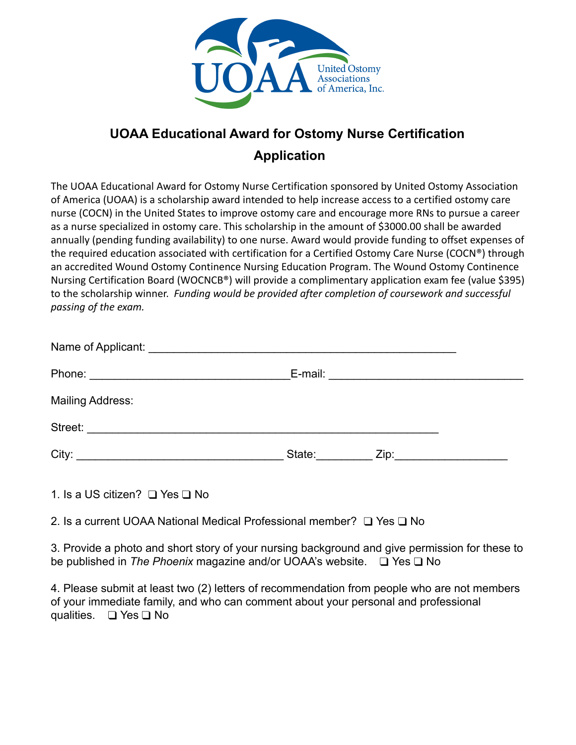

## **UOAA Educational Award for Ostomy Nurse Certification Application**

The UOAA Educational Award for Ostomy Nurse Certification sponsored by United Ostomy Association of America (UOAA) is a scholarship award intended to help increase access to a certified ostomy care nurse (COCN) in the United States to improve ostomy care and encourage more RNs to pursue a career as a nurse specialized in ostomy care. This scholarship in the amount of \$3000.00 shall be awarded annually (pending funding availability) to one nurse. Award would provide funding to offset expenses of the required education associated with certification for a Certified Ostomy Care Nurse (COCN®) through an accredited Wound Ostomy Continence Nursing Education Program. The Wound Ostomy Continence Nursing Certification Board (WOCNCB®) will provide a complimentary application exam fee (value \$395) to the scholarship winner. *Funding would be provided after completion of coursework and successful passing of the exam.*

| Mailing Address: |               |                                |  |
|------------------|---------------|--------------------------------|--|
| Street:          |               |                                |  |
|                  | State: State: | Zip:__________________________ |  |

1. Is a US citizen? ❑ Yes ❑ No

2. Is a current UOAA National Medical Professional member? ❑ Yes ❑ No

3. Provide a photo and short story of your nursing background and give permission for these to be published in *The Phoenix* magazine and/or UOAA's website. ❑ Yes ❑ No

4. Please submit at least two (2) letters of recommendation from people who are not members of your immediate family, and who can comment about your personal and professional qualities. ❑ Yes ❑ No